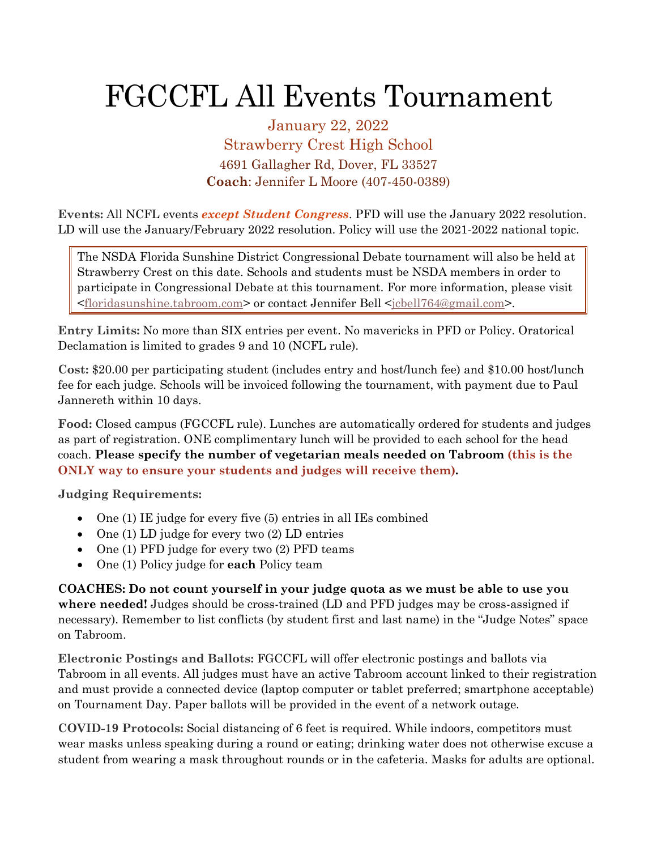## FGCCFL All Events Tournament

January 22, 2022 Strawberry Crest High School 4691 Gallagher Rd, Dover, FL 33527 **Coach**: Jennifer L Moore (407-450-0389)

**Events:** All NCFL events *except Student Congress*. PFD will use the January 2022 resolution. LD will use the January/February 2022 resolution. Policy will use the 2021-2022 national topic.

The NSDA Florida Sunshine District Congressional Debate tournament will also be held at Strawberry Crest on this date. Schools and students must be NSDA members in order to participate in Congressional Debate at this tournament. For more information, please visit [<floridasunshine.tabroom.com>](http://floridasunshine.tabroom.com/) or contact Jennifer Bell [<jcbell764@gmail.com>](mailto:jcbell764@gmail.com).

**Entry Limits:** No more than SIX entries per event. No mavericks in PFD or Policy. Oratorical Declamation is limited to grades 9 and 10 (NCFL rule).

**Cost:** \$20.00 per participating student (includes entry and host/lunch fee) and \$10.00 host/lunch fee for each judge. Schools will be invoiced following the tournament, with payment due to Paul Jannereth within 10 days.

**Food:** Closed campus (FGCCFL rule). Lunches are automatically ordered for students and judges as part of registration. ONE complimentary lunch will be provided to each school for the head coach. **Please specify the number of vegetarian meals needed on Tabroom (this is the ONLY way to ensure your students and judges will receive them).**

**Judging Requirements:**

- One (1) IE judge for every five (5) entries in all IEs combined
- One (1) LD judge for every two (2) LD entries
- One (1) PFD judge for every two (2) PFD teams
- One (1) Policy judge for **each** Policy team

**COACHES: Do not count yourself in your judge quota as we must be able to use you where needed!** Judges should be cross-trained (LD and PFD judges may be cross-assigned if necessary). Remember to list conflicts (by student first and last name) in the "Judge Notes" space on Tabroom.

**Electronic Postings and Ballots:** FGCCFL will offer electronic postings and ballots via Tabroom in all events. All judges must have an active Tabroom account linked to their registration and must provide a connected device (laptop computer or tablet preferred; smartphone acceptable) on Tournament Day. Paper ballots will be provided in the event of a network outage.

**COVID-19 Protocols:** Social distancing of 6 feet is required. While indoors, competitors must wear masks unless speaking during a round or eating; drinking water does not otherwise excuse a student from wearing a mask throughout rounds or in the cafeteria. Masks for adults are optional.